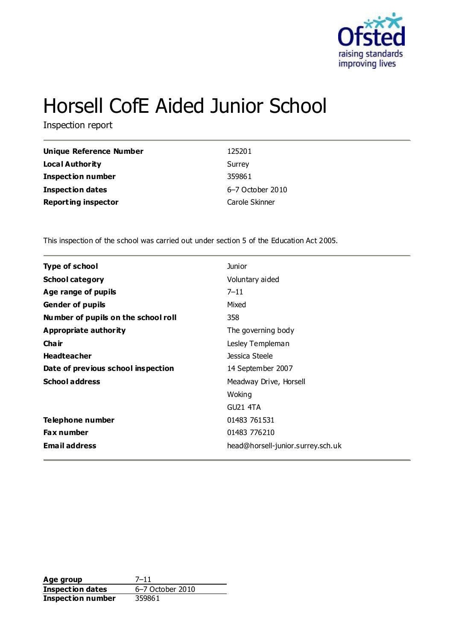

# Horsell CofE Aided Junior School

Inspection report

| <b>Unique Reference Number</b> | 125201           |
|--------------------------------|------------------|
| Local Authority                | Surrey           |
| <b>Inspection number</b>       | 359861           |
| <b>Inspection dates</b>        | 6-7 October 2010 |
| <b>Reporting inspector</b>     | Carole Skinner   |

This inspection of the school was carried out under section 5 of the Education Act 2005.

| <b>Type of school</b>               | <b>Junior</b>                     |
|-------------------------------------|-----------------------------------|
| <b>School category</b>              | Voluntary aided                   |
| Age range of pupils                 | $7 - 11$                          |
| <b>Gender of pupils</b>             | Mixed                             |
| Number of pupils on the school roll | 358                               |
| Appropriate authority               | The governing body                |
| Cha ir                              | Lesley Templeman                  |
| <b>Headteacher</b>                  | Jessica Steele                    |
| Date of previous school inspection  | 14 September 2007                 |
| <b>School address</b>               | Meadway Drive, Horsell            |
|                                     | Woking                            |
|                                     | <b>GU21 4TA</b>                   |
| Telephone number                    | 01483 761531                      |
| <b>Fax number</b>                   | 01483 776210                      |
| <b>Email address</b>                | head@horsell-junior.surrey.sch.uk |
|                                     |                                   |

**Age group** 7-11<br> **Inspection dates** 6-7 October 2010 **Inspection dates Inspection number** 359861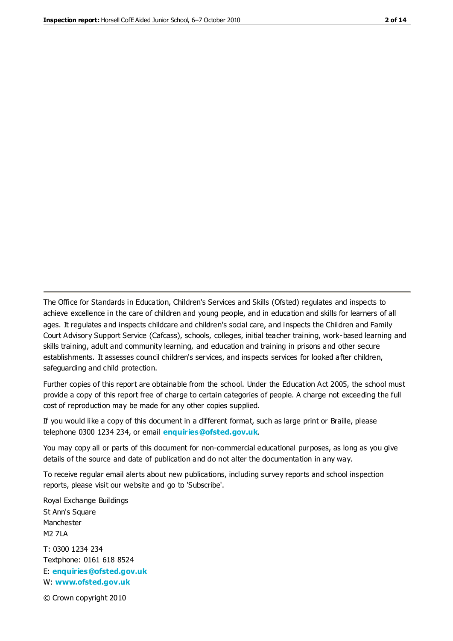The Office for Standards in Education, Children's Services and Skills (Ofsted) regulates and inspects to achieve excellence in the care of children and young people, and in education and skills for learners of all ages. It regulates and inspects childcare and children's social care, and inspects the Children and Family Court Advisory Support Service (Cafcass), schools, colleges, initial teacher training, work-based learning and skills training, adult and community learning, and education and training in prisons and other secure establishments. It assesses council children's services, and inspects services for looked after children, safeguarding and child protection.

Further copies of this report are obtainable from the school. Under the Education Act 2005, the school must provide a copy of this report free of charge to certain categories of people. A charge not exceeding the full cost of reproduction may be made for any other copies supplied.

If you would like a copy of this document in a different format, such as large print or Braille, please telephone 0300 1234 234, or email **[enquiries@ofsted.gov.uk](mailto:enquiries@ofsted.gov.uk)**.

You may copy all or parts of this document for non-commercial educational purposes, as long as you give details of the source and date of publication and do not alter the documentation in any way.

To receive regular email alerts about new publications, including survey reports and school inspection reports, please visit our website and go to 'Subscribe'.

Royal Exchange Buildings St Ann's Square Manchester M2 7LA T: 0300 1234 234 Textphone: 0161 618 8524 E: **[enquiries@ofsted.gov.uk](mailto:enquiries@ofsted.gov.uk)**

W: **[www.ofsted.gov.uk](http://www.ofsted.gov.uk/)**

© Crown copyright 2010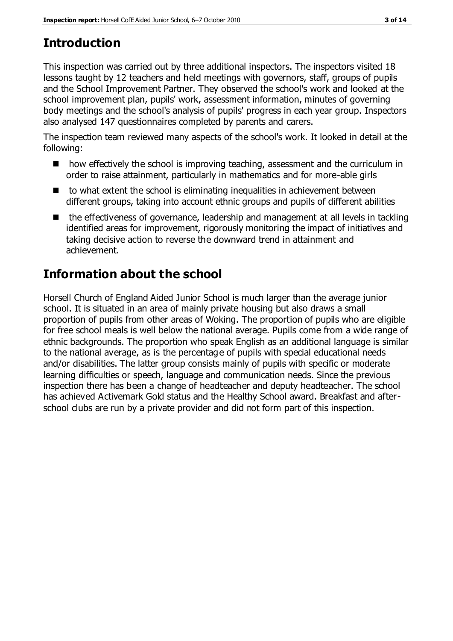# **Introduction**

This inspection was carried out by three additional inspectors. The inspectors visited 18 lessons taught by 12 teachers and held meetings with governors, staff, groups of pupils and the School Improvement Partner. They observed the school's work and looked at the school improvement plan, pupils' work, assessment information, minutes of governing body meetings and the school's analysis of pupils' progress in each year group. Inspectors also analysed 147 questionnaires completed by parents and carers.

The inspection team reviewed many aspects of the school's work. It looked in detail at the following:

- **n** how effectively the school is improving teaching, assessment and the curriculum in order to raise attainment, particularly in mathematics and for more-able girls
- $\blacksquare$  to what extent the school is eliminating inequalities in achievement between different groups, taking into account ethnic groups and pupils of different abilities
- the effectiveness of governance, leadership and management at all levels in tackling identified areas for improvement, rigorously monitoring the impact of initiatives and taking decisive action to reverse the downward trend in attainment and achievement.

# **Information about the school**

Horsell Church of England Aided Junior School is much larger than the average junior school. It is situated in an area of mainly private housing but also draws a small proportion of pupils from other areas of Woking. The proportion of pupils who are eligible for free school meals is well below the national average. Pupils come from a wide range of ethnic backgrounds. The proportion who speak English as an additional language is similar to the national average, as is the percentage of pupils with special educational needs and/or disabilities. The latter group consists mainly of pupils with specific or moderate learning difficulties or speech, language and communication needs. Since the previous inspection there has been a change of headteacher and deputy headteacher. The school has achieved Activemark Gold status and the Healthy School award. Breakfast and afterschool clubs are run by a private provider and did not form part of this inspection.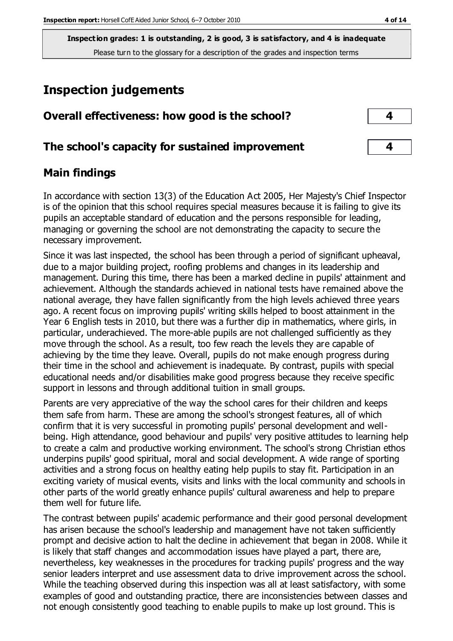## **Inspection judgements**

| Overall effectiveness: how good is the school?  |  |
|-------------------------------------------------|--|
| The school's capacity for sustained improvement |  |

#### **Main findings**

In accordance with section 13(3) of the Education Act 2005, Her Majesty's Chief Inspector is of the opinion that this school requires special measures because it is failing to give its pupils an acceptable standard of education and the persons responsible for leading, managing or governing the school are not demonstrating the capacity to secure the necessary improvement.

Since it was last inspected, the school has been through a period of significant upheaval, due to a major building project, roofing problems and changes in its leadership and management. During this time, there has been a marked decline in pupils' attainment and achievement. Although the standards achieved in national tests have remained above the national average, they have fallen significantly from the high levels achieved three years ago. A recent focus on improving pupils' writing skills helped to boost attainment in the Year 6 English tests in 2010, but there was a further dip in mathematics, where girls, in particular, underachieved. The more-able pupils are not challenged sufficiently as they move through the school. As a result, too few reach the levels they are capable of achieving by the time they leave. Overall, pupils do not make enough progress during their time in the school and achievement is inadequate. By contrast, pupils with special educational needs and/or disabilities make good progress because they receive specific support in lessons and through additional tuition in small groups.

Parents are very appreciative of the way the school cares for their children and keeps them safe from harm. These are among the school's strongest features, all of which confirm that it is very successful in promoting pupils' personal development and wellbeing. High attendance, good behaviour and pupils' very positive attitudes to learning help to create a calm and productive working environment. The school's strong Christian ethos underpins pupils' good spiritual, moral and social development. A wide range of sporting activities and a strong focus on healthy eating help pupils to stay fit. Participation in an exciting variety of musical events, visits and links with the local community and schools in other parts of the world greatly enhance pupils' cultural awareness and help to prepare them well for future life.

The contrast between pupils' academic performance and their good personal development has arisen because the school's leadership and management have not taken sufficiently prompt and decisive action to halt the decline in achievement that began in 2008. While it is likely that staff changes and accommodation issues have played a part, there are, nevertheless, key weaknesses in the procedures for tracking pupils' progress and the way senior leaders interpret and use assessment data to drive improvement across the school. While the teaching observed during this inspection was all at least satisfactory, with some examples of good and outstanding practice, there are inconsistencies between classes and not enough consistently good teaching to enable pupils to make up lost ground. This is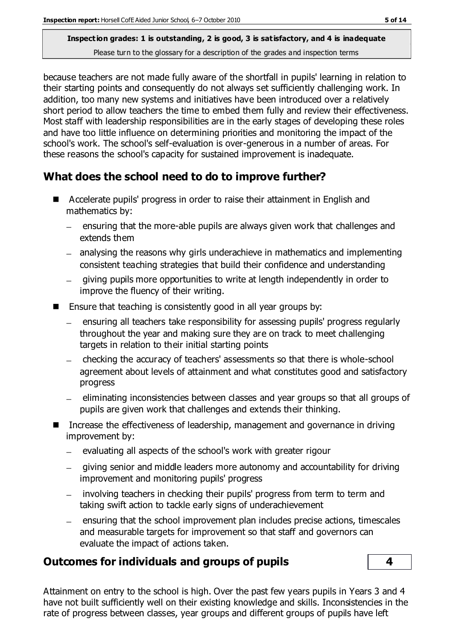because teachers are not made fully aware of the shortfall in pupils' learning in relation to their starting points and consequently do not always set sufficiently challenging work. In addition, too many new systems and initiatives have been introduced over a relatively short period to allow teachers the time to embed them fully and review their effectiveness. Most staff with leadership responsibilities are in the early stages of developing these roles and have too little influence on determining priorities and monitoring the impact of the school's work. The school's self-evaluation is over-generous in a number of areas. For these reasons the school's capacity for sustained improvement is inadequate.

#### **What does the school need to do to improve further?**

- Accelerate pupils' progress in order to raise their attainment in English and mathematics by:
	- ensuring that the more-able pupils are always given work that challenges and extends them
	- analysing the reasons why girls underachieve in mathematics and implementing consistent teaching strategies that build their confidence and understanding
	- giving pupils more opportunities to write at length independently in order to improve the fluency of their writing.
- **E** Ensure that teaching is consistently good in all year groups by:
	- ensuring all teachers take responsibility for assessing pupils' progress regularly throughout the year and making sure they are on track to meet challenging targets in relation to their initial starting points
	- checking the accuracy of teachers' assessments so that there is whole-school agreement about levels of attainment and what constitutes good and satisfactory progress
	- eliminating inconsistencies between classes and year groups so that all groups of pupils are given work that challenges and extends their thinking.
- Increase the effectiveness of leadership, management and governance in driving improvement by:
	- evaluating all aspects of the school's work with greater rigour  $\equiv$
	- giving senior and middle leaders more autonomy and accountability for driving improvement and monitoring pupils' progress
	- involving teachers in checking their pupils' progress from term to term and taking swift action to tackle early signs of underachievement
	- ensuring that the school improvement plan includes precise actions, timescales and measurable targets for improvement so that staff and governors can evaluate the impact of actions taken.

#### **Outcomes for individuals and groups of pupils 4**

Attainment on entry to the school is high. Over the past few years pupils in Years 3 and 4 have not built sufficiently well on their existing knowledge and skills. Inconsistencies in the rate of progress between classes, year groups and different groups of pupils have left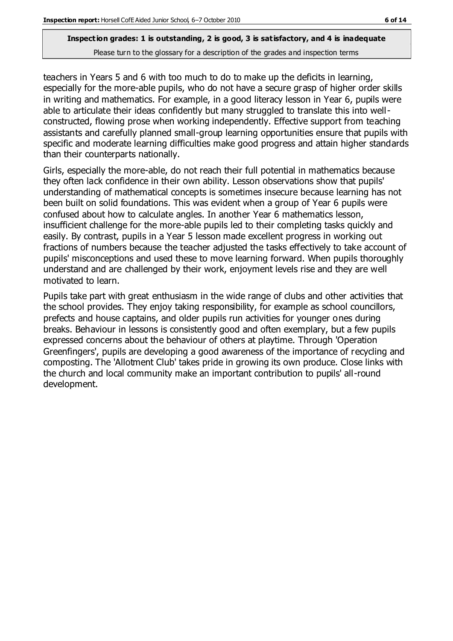teachers in Years 5 and 6 with too much to do to make up the deficits in learning, especially for the more-able pupils, who do not have a secure grasp of higher order skills in writing and mathematics. For example, in a good literacy lesson in Year 6, pupils were able to articulate their ideas confidently but many struggled to translate this into wellconstructed, flowing prose when working independently. Effective support from teaching assistants and carefully planned small-group learning opportunities ensure that pupils with specific and moderate learning difficulties make good progress and attain higher standards than their counterparts nationally.

Girls, especially the more-able, do not reach their full potential in mathematics because they often lack confidence in their own ability. Lesson observations show that pupils' understanding of mathematical concepts is sometimes insecure because learning has not been built on solid foundations. This was evident when a group of Year 6 pupils were confused about how to calculate angles. In another Year 6 mathematics lesson, insufficient challenge for the more-able pupils led to their completing tasks quickly and easily. By contrast, pupils in a Year 5 lesson made excellent progress in working out fractions of numbers because the teacher adjusted the tasks effectively to take account of pupils' misconceptions and used these to move learning forward. When pupils thoroughly understand and are challenged by their work, enjoyment levels rise and they are well motivated to learn.

Pupils take part with great enthusiasm in the wide range of clubs and other activities that the school provides. They enjoy taking responsibility, for example as school councillors, prefects and house captains, and older pupils run activities for younger ones during breaks. Behaviour in lessons is consistently good and often exemplary, but a few pupils expressed concerns about the behaviour of others at playtime. Through 'Operation Greenfingers', pupils are developing a good awareness of the importance of recycling and composting. The 'Allotment Club' takes pride in growing its own produce. Close links with the church and local community make an important contribution to pupils' all-round development.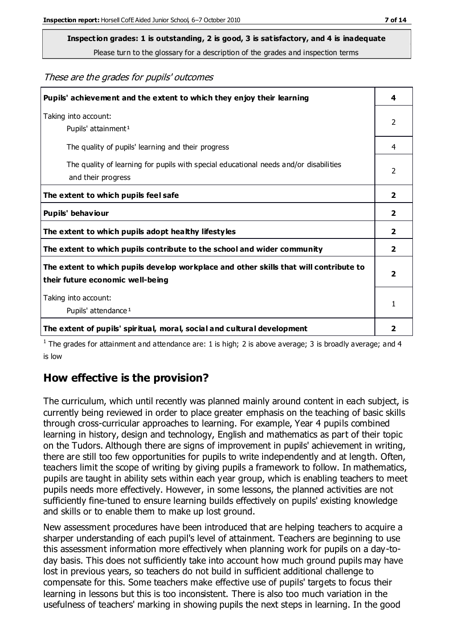# **Inspection grades: 1 is outstanding, 2 is good, 3 is satisfactory, and 4 is inadequate**

Please turn to the glossary for a description of the grades and inspection terms

#### These are the grades for pupils' outcomes

| Pupils' achievement and the extent to which they enjoy their learning                                                     | 4                       |
|---------------------------------------------------------------------------------------------------------------------------|-------------------------|
| Taking into account:<br>Pupils' attainment <sup>1</sup>                                                                   | 2                       |
| The quality of pupils' learning and their progress                                                                        | 4                       |
| The quality of learning for pupils with special educational needs and/or disabilities<br>and their progress               | 2                       |
| The extent to which pupils feel safe                                                                                      | $\overline{\mathbf{2}}$ |
| Pupils' behaviour                                                                                                         | 2                       |
| The extent to which pupils adopt healthy lifestyles                                                                       | 2                       |
| The extent to which pupils contribute to the school and wider community                                                   | $\overline{2}$          |
| The extent to which pupils develop workplace and other skills that will contribute to<br>their future economic well-being | $\overline{\mathbf{2}}$ |
| Taking into account:<br>Pupils' attendance <sup>1</sup>                                                                   | 1                       |
| The extent of pupils' spiritual, moral, social and cultural development                                                   | $\overline{\mathbf{2}}$ |

<sup>1</sup> The grades for attainment and attendance are: 1 is high; 2 is above average; 3 is broadly average; and 4 is low

#### **How effective is the provision?**

The curriculum, which until recently was planned mainly around content in each subject, is currently being reviewed in order to place greater emphasis on the teaching of basic skills through cross-curricular approaches to learning. For example, Year 4 pupils combined learning in history, design and technology, English and mathematics as part of their topic on the Tudors. Although there are signs of improvement in pupils' achievement in writing, there are still too few opportunities for pupils to write independently and at length. Often, teachers limit the scope of writing by giving pupils a framework to follow. In mathematics, pupils are taught in ability sets within each year group, which is enabling teachers to meet pupils needs more effectively. However, in some lessons, the planned activities are not sufficiently fine-tuned to ensure learning builds effectively on pupils' existing knowledge and skills or to enable them to make up lost ground.

New assessment procedures have been introduced that are helping teachers to acquire a sharper understanding of each pupil's level of attainment. Teachers are beginning to use this assessment information more effectively when planning work for pupils on a day-today basis. This does not sufficiently take into account how much ground pupils may have lost in previous years, so teachers do not build in sufficient additional challenge to compensate for this. Some teachers make effective use of pupils' targets to focus their learning in lessons but this is too inconsistent. There is also too much variation in the usefulness of teachers' marking in showing pupils the next steps in learning. In the good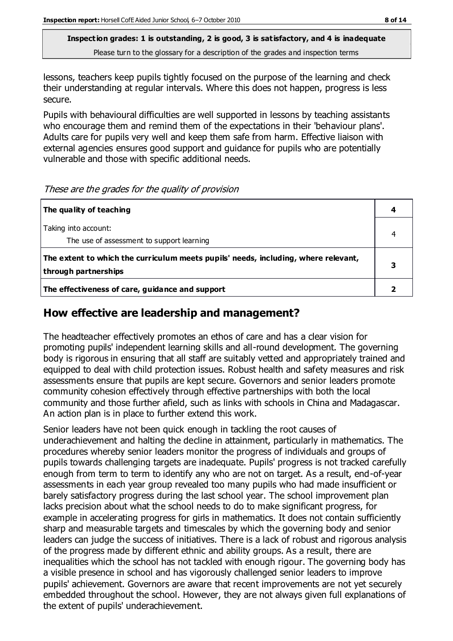lessons, teachers keep pupils tightly focused on the purpose of the learning and check their understanding at regular intervals. Where this does not happen, progress is less secure.

Pupils with behavioural difficulties are well supported in lessons by teaching assistants who encourage them and remind them of the expectations in their 'behaviour plans'. Adults care for pupils very well and keep them safe from harm. Effective liaison with external agencies ensures good support and guidance for pupils who are potentially vulnerable and those with specific additional needs.

These are the grades for the quality of provision

| The quality of teaching                                                                                    |  |
|------------------------------------------------------------------------------------------------------------|--|
| Taking into account:                                                                                       |  |
| The use of assessment to support learning                                                                  |  |
| The extent to which the curriculum meets pupils' needs, including, where relevant,<br>through partnerships |  |
| The effectiveness of care, guidance and support                                                            |  |

#### **How effective are leadership and management?**

The headteacher effectively promotes an ethos of care and has a clear vision for promoting pupils' independent learning skills and all-round development. The governing body is rigorous in ensuring that all staff are suitably vetted and appropriately trained and equipped to deal with child protection issues. Robust health and safety measures and risk assessments ensure that pupils are kept secure. Governors and senior leaders promote community cohesion effectively through effective partnerships with both the local community and those further afield, such as links with schools in China and Madagascar. An action plan is in place to further extend this work.

Senior leaders have not been quick enough in tackling the root causes of underachievement and halting the decline in attainment, particularly in mathematics. The procedures whereby senior leaders monitor the progress of individuals and groups of pupils towards challenging targets are inadequate. Pupils' progress is not tracked carefully enough from term to term to identify any who are not on target. As a result, end-of-year assessments in each year group revealed too many pupils who had made insufficient or barely satisfactory progress during the last school year. The school improvement plan lacks precision about what the school needs to do to make significant progress, for example in accelerating progress for girls in mathematics. It does not contain sufficiently sharp and measurable targets and timescales by which the governing body and senior leaders can judge the success of initiatives. There is a lack of robust and rigorous analysis of the progress made by different ethnic and ability groups. As a result, there are inequalities which the school has not tackled with enough rigour. The governing body has a visible presence in school and has vigorously challenged senior leaders to improve pupils' achievement. Governors are aware that recent improvements are not yet securely embedded throughout the school. However, they are not always given full explanations of the extent of pupils' underachievement.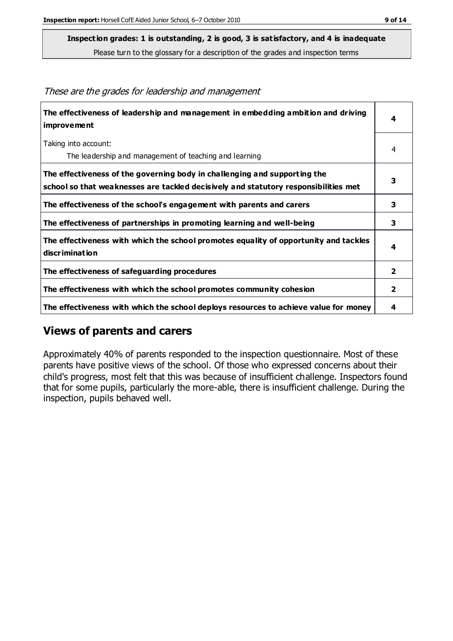These are the grades for leadership and management

**Inspection grades: 1 is outstanding, 2 is good, 3 is satisfactory, and 4 is inadequate**

Please turn to the glossary for a description of the grades and inspection terms

| 4<br>4<br>The leadership and management of teaching and learning<br>3<br>3<br>3<br>4<br>2 |                                                                                                                                                                  |  |
|-------------------------------------------------------------------------------------------|------------------------------------------------------------------------------------------------------------------------------------------------------------------|--|
|                                                                                           | The effectiveness of leadership and management in embedding ambition and driving<br>improvement                                                                  |  |
|                                                                                           | Taking into account:                                                                                                                                             |  |
|                                                                                           |                                                                                                                                                                  |  |
|                                                                                           | The effectiveness of the governing body in challenging and supporting the<br>school so that weaknesses are tackled decisively and statutory responsibilities met |  |
|                                                                                           | The effectiveness of the school's engagement with parents and carers                                                                                             |  |
|                                                                                           | The effectiveness of partnerships in promoting learning and well-being                                                                                           |  |
|                                                                                           | The effectiveness with which the school promotes equality of opportunity and tackles<br>discrimination                                                           |  |
|                                                                                           | The effectiveness of safeguarding procedures                                                                                                                     |  |
| 2                                                                                         | The effectiveness with which the school promotes community cohesion                                                                                              |  |
| 4                                                                                         | The effectiveness with which the school deploys resources to achieve value for money                                                                             |  |

#### **Views of parents and carers**

Approximately 40% of parents responded to the inspection questionnaire. Most of these parents have positive views of the school. Of those who expressed concerns about their child's progress, most felt that this was because of insufficient challenge. Inspectors found that for some pupils, particularly the more-able, there is insufficient challenge. During the inspection, pupils behaved well.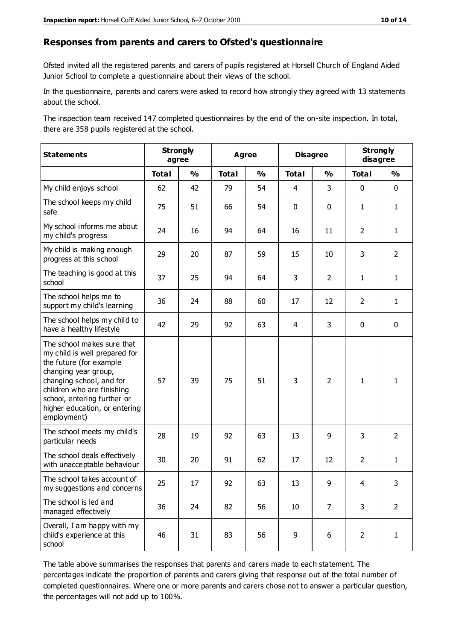#### **Responses from parents and carers to Ofsted's questionnaire**

Ofsted invited all the registered parents and carers of pupils registered at Horsell Church of England Aided Junior School to complete a questionnaire about their views of the school.

In the questionnaire, parents and carers were asked to record how strongly they agreed with 13 statements about the school.

The inspection team received 147 completed questionnaires by the end of the on-site inspection. In total, there are 358 pupils registered at the school.

| <b>Statements</b>                                                                                                                                                                                                                                       | <b>Strongly</b><br>agree |               | <b>Agree</b> |               | <b>Disagree</b> |                | <b>Strongly</b><br>disagree |                |
|---------------------------------------------------------------------------------------------------------------------------------------------------------------------------------------------------------------------------------------------------------|--------------------------|---------------|--------------|---------------|-----------------|----------------|-----------------------------|----------------|
|                                                                                                                                                                                                                                                         | <b>Total</b>             | $\frac{1}{2}$ | <b>Total</b> | $\frac{1}{2}$ | <b>Total</b>    | $\frac{1}{2}$  | <b>Total</b>                | $\frac{1}{2}$  |
| My child enjoys school                                                                                                                                                                                                                                  | 62                       | 42            | 79           | 54            | $\overline{4}$  | 3              | $\mathbf 0$                 | $\mathbf 0$    |
| The school keeps my child<br>safe                                                                                                                                                                                                                       | 75                       | 51            | 66           | 54            | $\mathbf 0$     | $\mathbf 0$    | $\mathbf{1}$                | $\mathbf{1}$   |
| My school informs me about<br>my child's progress                                                                                                                                                                                                       | 24                       | 16            | 94           | 64            | 16              | 11             | $\overline{2}$              | $\mathbf{1}$   |
| My child is making enough<br>progress at this school                                                                                                                                                                                                    | 29                       | 20            | 87           | 59            | 15              | 10             | 3                           | $\overline{2}$ |
| The teaching is good at this<br>school                                                                                                                                                                                                                  | 37                       | 25            | 94           | 64            | 3               | $\overline{2}$ | $\mathbf{1}$                | $\mathbf{1}$   |
| The school helps me to<br>support my child's learning                                                                                                                                                                                                   | 36                       | 24            | 88           | 60            | 17              | 12             | $\overline{2}$              | $\mathbf{1}$   |
| The school helps my child to<br>have a healthy lifestyle                                                                                                                                                                                                | 42                       | 29            | 92           | 63            | 4               | 3              | $\mathbf 0$                 | $\mathbf 0$    |
| The school makes sure that<br>my child is well prepared for<br>the future (for example<br>changing year group,<br>changing school, and for<br>children who are finishing<br>school, entering further or<br>higher education, or entering<br>employment) | 57                       | 39            | 75           | 51            | 3               | $\overline{2}$ | $\mathbf{1}$                | 1              |
| The school meets my child's<br>particular needs                                                                                                                                                                                                         | 28                       | 19            | 92           | 63            | 13              | 9              | 3                           | $\overline{2}$ |
| The school deals effectively<br>with unacceptable behaviour                                                                                                                                                                                             | 30                       | 20            | 91           | 62            | 17              | 12             | $\overline{2}$              | $\mathbf{1}$   |
| The school takes account of<br>my suggestions and concerns                                                                                                                                                                                              | 25                       | 17            | 92           | 63            | 13              | 9              | $\overline{4}$              | 3              |
| The school is led and<br>managed effectively                                                                                                                                                                                                            | 36                       | 24            | 82           | 56            | 10              | $\overline{7}$ | 3                           | $\overline{2}$ |
| Overall, I am happy with my<br>child's experience at this<br>school                                                                                                                                                                                     | 46                       | 31            | 83           | 56            | 9               | 6              | $\overline{2}$              | $\mathbf{1}$   |

The table above summarises the responses that parents and carers made to each statement. The percentages indicate the proportion of parents and carers giving that response out of the total number of completed questionnaires. Where one or more parents and carers chose not to answer a particular question, the percentages will not add up to 100%.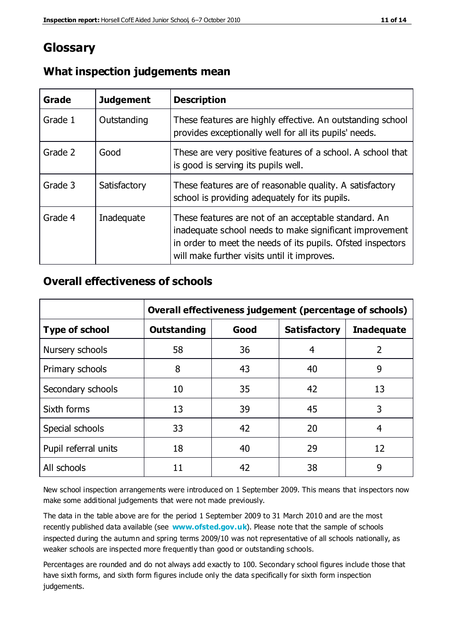## **Glossary**

| Grade   | <b>Judgement</b> | <b>Description</b>                                                                                                                                                                                                            |
|---------|------------------|-------------------------------------------------------------------------------------------------------------------------------------------------------------------------------------------------------------------------------|
| Grade 1 | Outstanding      | These features are highly effective. An outstanding school<br>provides exceptionally well for all its pupils' needs.                                                                                                          |
| Grade 2 | Good             | These are very positive features of a school. A school that<br>is good is serving its pupils well.                                                                                                                            |
| Grade 3 | Satisfactory     | These features are of reasonable quality. A satisfactory<br>school is providing adequately for its pupils.                                                                                                                    |
| Grade 4 | Inadequate       | These features are not of an acceptable standard. An<br>inadequate school needs to make significant improvement<br>in order to meet the needs of its pupils. Ofsted inspectors<br>will make further visits until it improves. |

#### **What inspection judgements mean**

#### **Overall effectiveness of schools**

|                       | Overall effectiveness judgement (percentage of schools) |      |                     |                   |
|-----------------------|---------------------------------------------------------|------|---------------------|-------------------|
| <b>Type of school</b> | <b>Outstanding</b>                                      | Good | <b>Satisfactory</b> | <b>Inadequate</b> |
| Nursery schools       | 58                                                      | 36   | 4                   | 2                 |
| Primary schools       | 8                                                       | 43   | 40                  | 9                 |
| Secondary schools     | 10                                                      | 35   | 42                  | 13                |
| Sixth forms           | 13                                                      | 39   | 45                  | 3                 |
| Special schools       | 33                                                      | 42   | 20                  | 4                 |
| Pupil referral units  | 18                                                      | 40   | 29                  | 12                |
| All schools           | 11                                                      | 42   | 38                  | 9                 |

New school inspection arrangements were introduced on 1 September 2009. This means that inspectors now make some additional judgements that were not made previously.

The data in the table above are for the period 1 September 2009 to 31 March 2010 and are the most recently published data available (see **[www.ofsted.gov.uk](http://www.ofsted.gov.uk/)**). Please note that the sample of schools inspected during the autumn and spring terms 2009/10 was not representative of all schools nationally, as weaker schools are inspected more frequently than good or outstanding schools.

Percentages are rounded and do not always add exactly to 100. Secondary school figures include those that have sixth forms, and sixth form figures include only the data specifically for sixth form inspection judgements.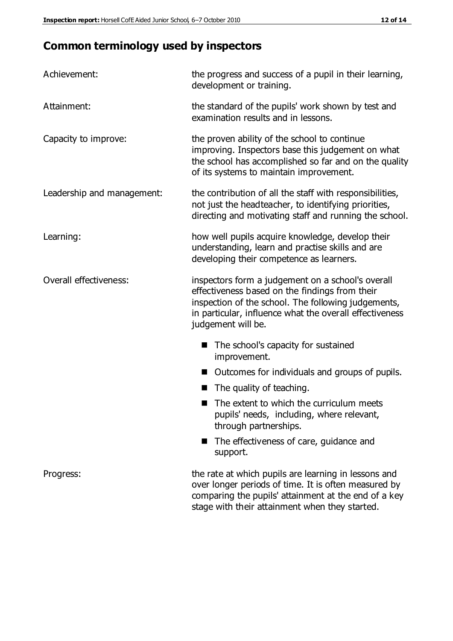# **Common terminology used by inspectors**

| Achievement:                  | the progress and success of a pupil in their learning,<br>development or training.                                                                                                                                                          |  |  |
|-------------------------------|---------------------------------------------------------------------------------------------------------------------------------------------------------------------------------------------------------------------------------------------|--|--|
| Attainment:                   | the standard of the pupils' work shown by test and<br>examination results and in lessons.                                                                                                                                                   |  |  |
| Capacity to improve:          | the proven ability of the school to continue<br>improving. Inspectors base this judgement on what<br>the school has accomplished so far and on the quality<br>of its systems to maintain improvement.                                       |  |  |
| Leadership and management:    | the contribution of all the staff with responsibilities,<br>not just the headteacher, to identifying priorities,<br>directing and motivating staff and running the school.                                                                  |  |  |
| Learning:                     | how well pupils acquire knowledge, develop their<br>understanding, learn and practise skills and are<br>developing their competence as learners.                                                                                            |  |  |
| <b>Overall effectiveness:</b> | inspectors form a judgement on a school's overall<br>effectiveness based on the findings from their<br>inspection of the school. The following judgements,<br>in particular, influence what the overall effectiveness<br>judgement will be. |  |  |
|                               | The school's capacity for sustained<br>improvement.                                                                                                                                                                                         |  |  |
|                               | Outcomes for individuals and groups of pupils.                                                                                                                                                                                              |  |  |
|                               | The quality of teaching.                                                                                                                                                                                                                    |  |  |
|                               | The extent to which the curriculum meets<br>pupils' needs, including, where relevant,<br>through partnerships.                                                                                                                              |  |  |
|                               | The effectiveness of care, guidance and<br>support.                                                                                                                                                                                         |  |  |
| Progress:                     | the rate at which pupils are learning in lessons and<br>over longer periods of time. It is often measured by<br>comparing the pupils' attainment at the end of a key                                                                        |  |  |

stage with their attainment when they started.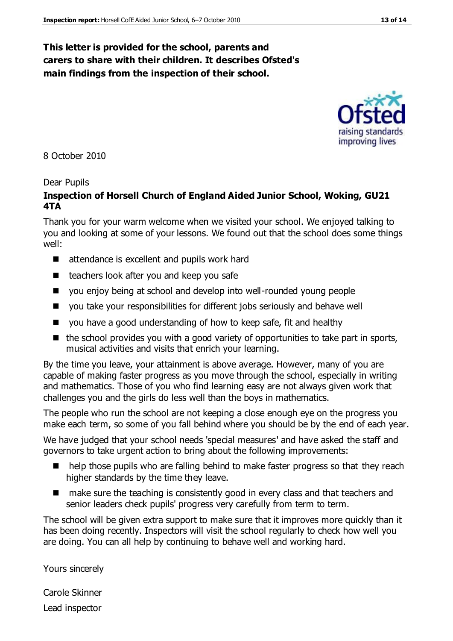#### **This letter is provided for the school, parents and carers to share with their children. It describes Ofsted's main findings from the inspection of their school.**

8 October 2010

#### Dear Pupils

#### **Inspection of Horsell Church of England Aided Junior School, Woking, GU21 4TA**

Thank you for your warm welcome when we visited your school. We enjoyed talking to you and looking at some of your lessons. We found out that the school does some things well:

- attendance is excellent and pupils work hard
- $\blacksquare$  teachers look after you and keep you safe
- you enjoy being at school and develop into well-rounded young people
- you take your responsibilities for different jobs seriously and behave well
- you have a good understanding of how to keep safe, fit and healthy
- $\blacksquare$  the school provides you with a good variety of opportunities to take part in sports, musical activities and visits that enrich your learning.

By the time you leave, your attainment is above average. However, many of you are capable of making faster progress as you move through the school, especially in writing and mathematics. Those of you who find learning easy are not always given work that challenges you and the girls do less well than the boys in mathematics.

The people who run the school are not keeping a close enough eye on the progress you make each term, so some of you fall behind where you should be by the end of each year.

We have judged that your school needs 'special measures' and have asked the staff and governors to take urgent action to bring about the following improvements:

- help those pupils who are falling behind to make faster progress so that they reach higher standards by the time they leave.
- make sure the teaching is consistently good in every class and that teachers and senior leaders check pupils' progress very carefully from term to term.

The school will be given extra support to make sure that it improves more quickly than it has been doing recently. Inspectors will visit the school regularly to check how well you are doing. You can all help by continuing to behave well and working hard.

Yours sincerely

Carole Skinner Lead inspector